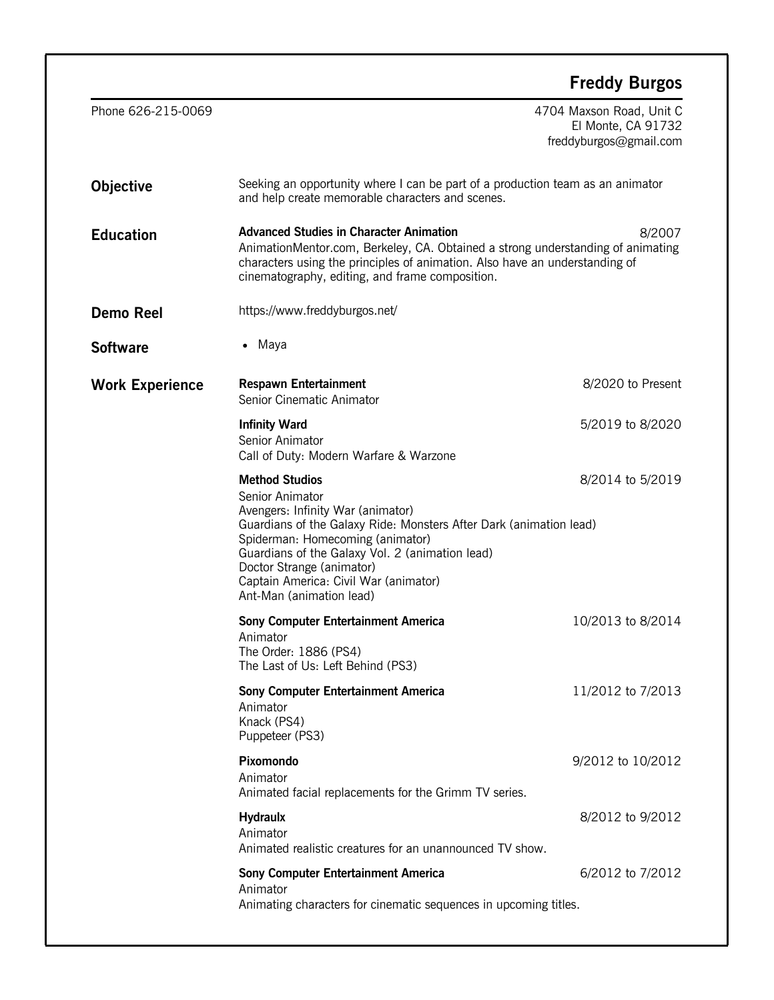|                        |                                                                                                                                                                                                                                                                                                                                              | <b>Freddy Burgos</b>                                                     |
|------------------------|----------------------------------------------------------------------------------------------------------------------------------------------------------------------------------------------------------------------------------------------------------------------------------------------------------------------------------------------|--------------------------------------------------------------------------|
| Phone 626-215-0069     |                                                                                                                                                                                                                                                                                                                                              | 4704 Maxson Road, Unit C<br>El Monte, CA 91732<br>freddyburgos@gmail.com |
| <b>Objective</b>       | Seeking an opportunity where I can be part of a production team as an animator<br>and help create memorable characters and scenes.                                                                                                                                                                                                           |                                                                          |
| <b>Education</b>       | <b>Advanced Studies in Character Animation</b><br>8/2007<br>AnimationMentor.com, Berkeley, CA. Obtained a strong understanding of animating<br>characters using the principles of animation. Also have an understanding of<br>cinematography, editing, and frame composition.                                                                |                                                                          |
| <b>Demo Reel</b>       | https://www.freddyburgos.net/                                                                                                                                                                                                                                                                                                                |                                                                          |
| <b>Software</b>        | • Maya                                                                                                                                                                                                                                                                                                                                       |                                                                          |
| <b>Work Experience</b> | <b>Respawn Entertainment</b><br>Senior Cinematic Animator                                                                                                                                                                                                                                                                                    | 8/2020 to Present                                                        |
|                        | <b>Infinity Ward</b><br>Senior Animator<br>Call of Duty: Modern Warfare & Warzone                                                                                                                                                                                                                                                            | 5/2019 to 8/2020                                                         |
|                        | <b>Method Studios</b><br>Senior Animator<br>Avengers: Infinity War (animator)<br>Guardians of the Galaxy Ride: Monsters After Dark (animation lead)<br>Spiderman: Homecoming (animator)<br>Guardians of the Galaxy Vol. 2 (animation lead)<br>Doctor Strange (animator)<br>Captain America: Civil War (animator)<br>Ant-Man (animation lead) | 8/2014 to 5/2019                                                         |
|                        | <b>Sony Computer Entertainment America</b><br>Animator<br>The Order: 1886 (PS4)<br>The Last of Us: Left Behind (PS3)                                                                                                                                                                                                                         | 10/2013 to 8/2014                                                        |
|                        | <b>Sony Computer Entertainment America</b><br>Animator<br>Knack (PS4)<br>Puppeteer (PS3)                                                                                                                                                                                                                                                     | 11/2012 to 7/2013                                                        |
|                        | Pixomondo<br>Animator<br>Animated facial replacements for the Grimm TV series.                                                                                                                                                                                                                                                               | 9/2012 to 10/2012                                                        |
|                        | <b>Hydraulx</b><br>Animator<br>Animated realistic creatures for an unannounced TV show.                                                                                                                                                                                                                                                      | 8/2012 to 9/2012                                                         |
|                        | <b>Sony Computer Entertainment America</b><br>Animator<br>Animating characters for cinematic sequences in upcoming titles.                                                                                                                                                                                                                   | 6/2012 to 7/2012                                                         |